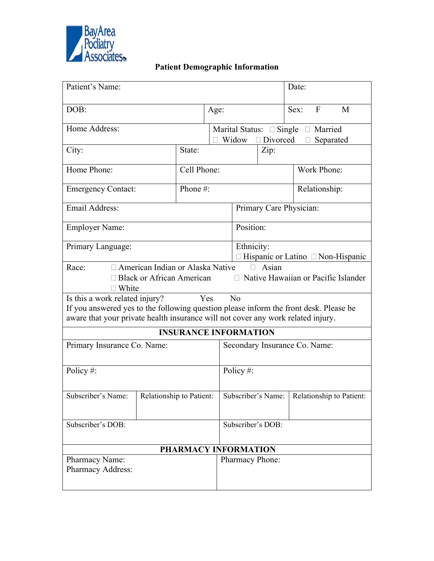

# **Patient Demographic Information**

| Patient's Name:                                                                                                                                                                                                          |                          |  |                                                                                       | Date:                                                         |  |                                               |              |   |  |
|--------------------------------------------------------------------------------------------------------------------------------------------------------------------------------------------------------------------------|--------------------------|--|---------------------------------------------------------------------------------------|---------------------------------------------------------------|--|-----------------------------------------------|--------------|---|--|
| DOB:                                                                                                                                                                                                                     |                          |  | Age:                                                                                  |                                                               |  | Sex:                                          | $\mathbf{F}$ | M |  |
| Home Address:                                                                                                                                                                                                            |                          |  | Marital Status: $\Box$ Single $\Box$ Married<br>Widow<br>$\Box$ Divorced<br>Separated |                                                               |  |                                               |              |   |  |
| City:                                                                                                                                                                                                                    | State:                   |  | Zip:                                                                                  |                                                               |  |                                               |              |   |  |
| Home Phone:                                                                                                                                                                                                              | Cell Phone:              |  |                                                                                       |                                                               |  |                                               | Work Phone:  |   |  |
| <b>Emergency Contact:</b>                                                                                                                                                                                                | Phone#:                  |  |                                                                                       | Relationship:                                                 |  |                                               |              |   |  |
| Email Address:                                                                                                                                                                                                           |                          |  |                                                                                       | Primary Care Physician:                                       |  |                                               |              |   |  |
| <b>Employer Name:</b>                                                                                                                                                                                                    |                          |  |                                                                                       | Position:                                                     |  |                                               |              |   |  |
| Primary Language:                                                                                                                                                                                                        |                          |  |                                                                                       | Ethnicity:<br>Hispanic or Latino <sup>[11]</sup> Non-Hispanic |  |                                               |              |   |  |
| □ American Indian or Alaska Native<br>Race:<br>Asian<br>□ Black or African American<br>□ Native Hawaiian or Pacific Islander<br>$\Box$ White                                                                             |                          |  |                                                                                       |                                                               |  |                                               |              |   |  |
| Is this a work related injury?<br>Yes<br>No<br>If you answered yes to the following question please inform the front desk. Please be<br>aware that your private health insurance will not cover any work related injury. |                          |  |                                                                                       |                                                               |  |                                               |              |   |  |
| <b>INSURANCE INFORMATION</b>                                                                                                                                                                                             |                          |  |                                                                                       |                                                               |  |                                               |              |   |  |
| Primary Insurance Co. Name:                                                                                                                                                                                              |                          |  |                                                                                       | Secondary Insurance Co. Name:                                 |  |                                               |              |   |  |
| Policy #:                                                                                                                                                                                                                |                          |  |                                                                                       | Policy#:                                                      |  |                                               |              |   |  |
| Subscriber's Name:                                                                                                                                                                                                       | Relationship to Patient: |  |                                                                                       |                                                               |  | Subscriber's Name:   Relationship to Patient: |              |   |  |
| Subscriber's DOB:                                                                                                                                                                                                        |                          |  |                                                                                       | Subscriber's DOB:                                             |  |                                               |              |   |  |
| PHARMACY INFORMATION                                                                                                                                                                                                     |                          |  |                                                                                       |                                                               |  |                                               |              |   |  |
| Pharmacy Name:<br>Pharmacy Address:                                                                                                                                                                                      |                          |  |                                                                                       | <b>Pharmacy Phone:</b>                                        |  |                                               |              |   |  |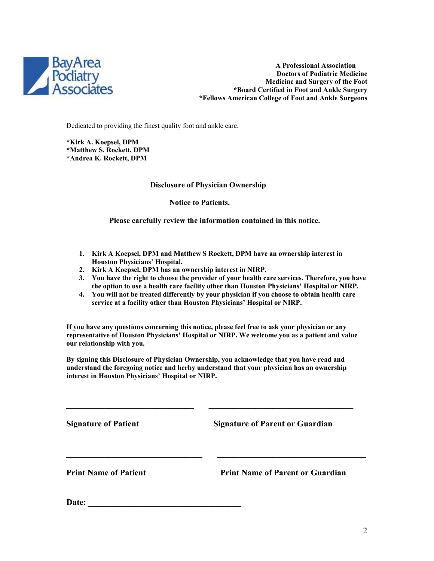

 **A Professional Association Doctors of Podiatric Medicine Medicine and Surgery of the Foot \*Board Certified in Foot and Ankle Surgery \*Fellows American College of Foot and Ankle Surgeons**

Dedicated to providing the finest quality foot and ankle care.

**\*Kirk A. Koepsel, DPM \*Matthew S. Rockett, DPM \*Andrea K. Rockett, DPM**

## **Disclosure of Physician Ownership**

 **Notice to Patients.**

 **Please carefully review the information contained in this notice.**

- **1. Kirk A Koepsel, DPM and Matthew S Rockett, DPM have an ownership interest in Houston Physicians' Hospital.**
- **2. Kirk A Koepsel, DPM has an ownership interest in NIRP.**
- **3. You have the right to choose the provider of your health care services. Therefore, you have the option to use a health care facility other than Houston Physicians' Hospital or NIRP.**
- **4. You will not be treated differently by your physician if you choose to obtain health care service at a facility other than Houston Physicians' Hospital or NIRP.**

**If you have any questions concerning this notice, please feel free to ask your physician or any representative of Houston Physicians' Hospital or NIRP. We welcome you as a patient and value our relationship with you.**

**By signing this Disclosure of Physician Ownership, you acknowledge that you have read and understand the foregoing notice and herby understand that your physician has an ownership interest in Houston Physicians' Hospital or NIRP.**

**\_\_\_\_\_\_\_\_\_\_\_\_\_\_\_\_\_\_\_\_\_\_\_\_\_\_\_\_\_\_ \_\_\_\_\_\_\_\_\_\_\_\_\_\_\_\_\_\_\_\_\_\_\_\_\_\_\_\_\_\_\_\_\_\_**

**Signature of Patient Signature of Parent or Guardian \_\_\_\_\_\_\_\_\_\_\_\_\_\_\_\_\_\_\_\_\_\_\_\_\_\_\_\_\_\_\_\_ \_\_\_\_\_\_\_\_\_\_\_\_\_\_\_\_\_\_\_\_\_\_\_\_\_\_\_\_\_\_\_\_\_\_\_ Print Name of Patient Communist Print Name of Parent or Guardian** 

Date: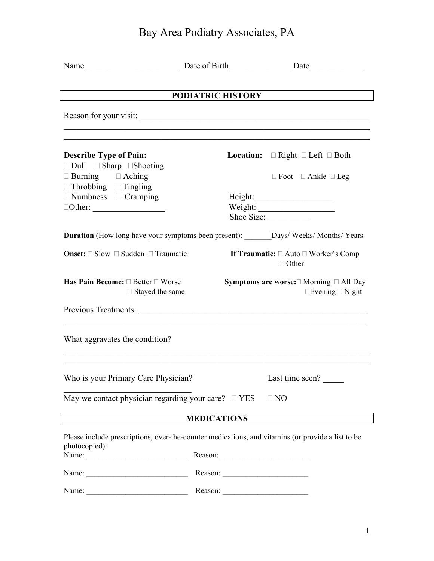# Bay Area Podiatry Associates, PA

|                                                                                                                                                                                                                                                                                                                                                                                                               |                    | Name <u> Date</u> <b>Date Date Date Date Date Date Date Date Date Date Date Date Date Date Date Date Date Date Date Date Date Date Date Date Date Date</b> |  |  |
|---------------------------------------------------------------------------------------------------------------------------------------------------------------------------------------------------------------------------------------------------------------------------------------------------------------------------------------------------------------------------------------------------------------|--------------------|------------------------------------------------------------------------------------------------------------------------------------------------------------|--|--|
| $\overline{\phantom{a}}$                                                                                                                                                                                                                                                                                                                                                                                      |                    | PODIATRIC HISTORY                                                                                                                                          |  |  |
|                                                                                                                                                                                                                                                                                                                                                                                                               |                    |                                                                                                                                                            |  |  |
|                                                                                                                                                                                                                                                                                                                                                                                                               |                    |                                                                                                                                                            |  |  |
| <b>Describe Type of Pain:</b><br>$\Box$ Dull $\Box$ Sharp $\Box$ Shooting                                                                                                                                                                                                                                                                                                                                     |                    | <b>Location:</b> $\Box$ Right $\Box$ Left $\Box$ Both                                                                                                      |  |  |
| $\Box$ Burning $\Box$ Aching<br>$\Box$ Throbbing $\Box$ Tingling                                                                                                                                                                                                                                                                                                                                              |                    | $\Box$ Foot $\Box$ Ankle $\Box$ Leg                                                                                                                        |  |  |
| $\Box$ Numbness $\Box$ Cramping                                                                                                                                                                                                                                                                                                                                                                               |                    | Weight:<br>Shoe Size:                                                                                                                                      |  |  |
|                                                                                                                                                                                                                                                                                                                                                                                                               |                    | <b>Duration</b> (How long have your symptoms been present): _______Days/Weeks/Months/Years                                                                 |  |  |
| <b>Onset:</b> $\Box$ Slow $\Box$ Sudden $\Box$ Traumatic                                                                                                                                                                                                                                                                                                                                                      |                    | If Traumatic: $\Box$ Auto $\Box$ Worker's Comp<br>$\Box$ Other                                                                                             |  |  |
| Has Pain Become: □ Better □ Worse<br>$\Box$ Stayed the same                                                                                                                                                                                                                                                                                                                                                   |                    | <b>Symptoms are worse:</b> □ Morning □ All Day<br>$\Box$ Evening $\Box$ Night                                                                              |  |  |
|                                                                                                                                                                                                                                                                                                                                                                                                               |                    |                                                                                                                                                            |  |  |
| What aggravates the condition?                                                                                                                                                                                                                                                                                                                                                                                |                    |                                                                                                                                                            |  |  |
| Who is your Primary Care Physician?                                                                                                                                                                                                                                                                                                                                                                           |                    | Last time seen?                                                                                                                                            |  |  |
| May we contact physician regarding your care? $\square$ YES                                                                                                                                                                                                                                                                                                                                                   |                    | $\Box$ NO                                                                                                                                                  |  |  |
|                                                                                                                                                                                                                                                                                                                                                                                                               | <b>MEDICATIONS</b> |                                                                                                                                                            |  |  |
| photocopied):                                                                                                                                                                                                                                                                                                                                                                                                 |                    | Please include prescriptions, over-the-counter medications, and vitamins (or provide a list to be                                                          |  |  |
| Name: $\frac{1}{\sqrt{1-\frac{1}{2}}\sqrt{1-\frac{1}{2}}\sqrt{1-\frac{1}{2}}\sqrt{1-\frac{1}{2}}\sqrt{1-\frac{1}{2}}\sqrt{1-\frac{1}{2}}\sqrt{1-\frac{1}{2}}\sqrt{1-\frac{1}{2}}\sqrt{1-\frac{1}{2}}\sqrt{1-\frac{1}{2}}\sqrt{1-\frac{1}{2}}\sqrt{1-\frac{1}{2}}\sqrt{1-\frac{1}{2}}\sqrt{1-\frac{1}{2}}\sqrt{1-\frac{1}{2}}\sqrt{1-\frac{1}{2}}\sqrt{1-\frac{1}{2}}\sqrt{1-\frac{1}{2}}\sqrt{1-\frac{1}{2}}$ |                    |                                                                                                                                                            |  |  |
|                                                                                                                                                                                                                                                                                                                                                                                                               |                    |                                                                                                                                                            |  |  |
|                                                                                                                                                                                                                                                                                                                                                                                                               |                    |                                                                                                                                                            |  |  |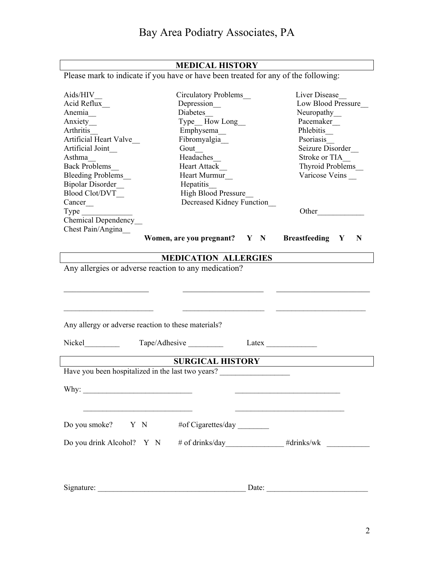| <b>MEDICAL HISTORY</b>                                                                                               |                                         |                           |                                                                                                                                                                                                                                      |  |  |
|----------------------------------------------------------------------------------------------------------------------|-----------------------------------------|---------------------------|--------------------------------------------------------------------------------------------------------------------------------------------------------------------------------------------------------------------------------------|--|--|
| Please mark to indicate if you have or have been treated for any of the following:                                   |                                         |                           |                                                                                                                                                                                                                                      |  |  |
|                                                                                                                      |                                         |                           |                                                                                                                                                                                                                                      |  |  |
| Aids/HIV                                                                                                             | <b>Circulatory Problems</b>             | Liver Disease             |                                                                                                                                                                                                                                      |  |  |
| Acid Reflux                                                                                                          | Depression                              | <b>Low Blood Pressure</b> |                                                                                                                                                                                                                                      |  |  |
| Anemia                                                                                                               | Diabetes                                |                           | Neuropathy                                                                                                                                                                                                                           |  |  |
| Anxiety                                                                                                              | Type_How Long                           |                           | Pacemaker                                                                                                                                                                                                                            |  |  |
| Arthritis                                                                                                            | Emphysema_                              |                           | Phlebitis                                                                                                                                                                                                                            |  |  |
| Artificial Heart Valve                                                                                               | Fibromyalgia                            |                           | Psoriasis                                                                                                                                                                                                                            |  |  |
| Artificial Joint                                                                                                     | Gout                                    |                           | Seizure Disorder                                                                                                                                                                                                                     |  |  |
| Asthma                                                                                                               | Headaches                               |                           | Stroke or TIA                                                                                                                                                                                                                        |  |  |
| <b>Back Problems</b>                                                                                                 | <b>Heart Attack</b>                     |                           | <b>Thyroid Problems</b>                                                                                                                                                                                                              |  |  |
| <b>Bleeding Problems</b><br><b>Bipolar Disorder</b>                                                                  | Heart Murmur                            |                           | Varicose Veins                                                                                                                                                                                                                       |  |  |
| <b>Blood Clot/DVT</b>                                                                                                | Hepatitis<br><b>High Blood Pressure</b> |                           |                                                                                                                                                                                                                                      |  |  |
| Cancer_                                                                                                              |                                         | Decreased Kidney Function |                                                                                                                                                                                                                                      |  |  |
| Type                                                                                                                 |                                         |                           | Other                                                                                                                                                                                                                                |  |  |
| <b>Chemical Dependency</b>                                                                                           |                                         |                           |                                                                                                                                                                                                                                      |  |  |
| Chest Pain/Angina                                                                                                    |                                         |                           |                                                                                                                                                                                                                                      |  |  |
|                                                                                                                      | Women, are you pregnant? $Y \ N$        |                           | <b>Breastfeeding</b> Y<br>$\mathbf N$                                                                                                                                                                                                |  |  |
|                                                                                                                      |                                         |                           |                                                                                                                                                                                                                                      |  |  |
|                                                                                                                      | <b>MEDICATION ALLERGIES</b>             |                           |                                                                                                                                                                                                                                      |  |  |
| Any allergies or adverse reaction to any medication?                                                                 |                                         |                           |                                                                                                                                                                                                                                      |  |  |
|                                                                                                                      |                                         |                           |                                                                                                                                                                                                                                      |  |  |
|                                                                                                                      |                                         |                           |                                                                                                                                                                                                                                      |  |  |
|                                                                                                                      |                                         |                           |                                                                                                                                                                                                                                      |  |  |
|                                                                                                                      |                                         |                           |                                                                                                                                                                                                                                      |  |  |
|                                                                                                                      |                                         |                           |                                                                                                                                                                                                                                      |  |  |
| Any allergy or adverse reaction to these materials?                                                                  |                                         |                           |                                                                                                                                                                                                                                      |  |  |
|                                                                                                                      |                                         |                           |                                                                                                                                                                                                                                      |  |  |
| Nickel                                                                                                               | Tape/Adhesive                           |                           | Latex $\qquad \qquad$                                                                                                                                                                                                                |  |  |
|                                                                                                                      |                                         |                           |                                                                                                                                                                                                                                      |  |  |
| <b>SURGICAL HISTORY</b><br>Have you been hospitalized in the last two years?                                         |                                         |                           |                                                                                                                                                                                                                                      |  |  |
|                                                                                                                      |                                         |                           |                                                                                                                                                                                                                                      |  |  |
|                                                                                                                      |                                         |                           |                                                                                                                                                                                                                                      |  |  |
|                                                                                                                      |                                         |                           |                                                                                                                                                                                                                                      |  |  |
| <u> 2000 - Jan James James Jan James James James James James James James James James James James James James Jam</u> |                                         |                           | <u>state and the control of the control of the control of the control of the control of the control of the control of the control of the control of the control of the control of the control of the control of the control of t</u> |  |  |
|                                                                                                                      |                                         |                           |                                                                                                                                                                                                                                      |  |  |
|                                                                                                                      |                                         |                           |                                                                                                                                                                                                                                      |  |  |
|                                                                                                                      |                                         |                           |                                                                                                                                                                                                                                      |  |  |
|                                                                                                                      |                                         |                           | Do you drink Alcohol? Y N # of drinks/day____________#drinks/wk ________________                                                                                                                                                     |  |  |
|                                                                                                                      |                                         |                           |                                                                                                                                                                                                                                      |  |  |
|                                                                                                                      |                                         |                           |                                                                                                                                                                                                                                      |  |  |
|                                                                                                                      |                                         |                           |                                                                                                                                                                                                                                      |  |  |
| Signature:                                                                                                           |                                         | Date:                     |                                                                                                                                                                                                                                      |  |  |
|                                                                                                                      |                                         |                           |                                                                                                                                                                                                                                      |  |  |